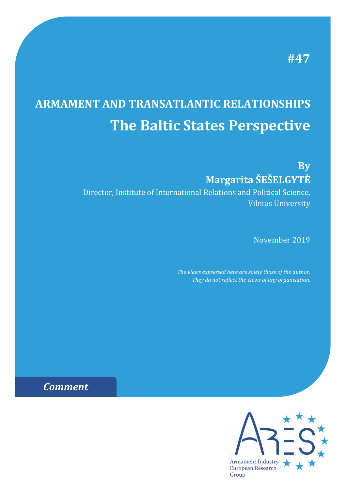### **#47**

# **ARMAMENT AND TRANSATLANTIC RELATIONSHIPS The Baltic States Perspective**

## **By Margarita ŠEŠELGYTĖ**

Director, Institute of International Relations and Political Science, Vilnius University

November 2019

 *The views expressed here are solely those of the author. They do not reflect the views of any organisation.*

*Comment*

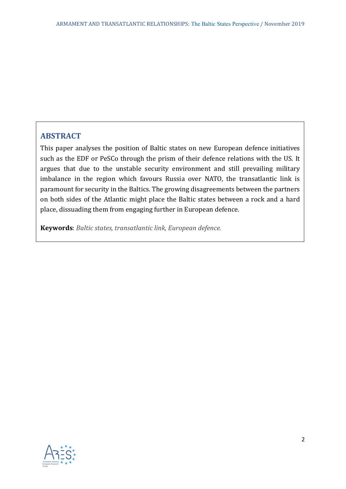#### **ABSTRACT**

This paper analyses the position of Baltic states on new European defence initiatives such as the EDF or PeSCo through the prism of their defence relations with the US. It argues that due to the unstable security environment and still prevailing military imbalance in the region which favours Russia over NATO, the transatlantic link is paramount for security in the Baltics. The growing disagreements between the partners on both sides of the Atlantic might place the Baltic states between a rock and a hard place, dissuading them from engaging further in European defence.

**Keywords**: *Baltic states, transatlantic link, European defence.*

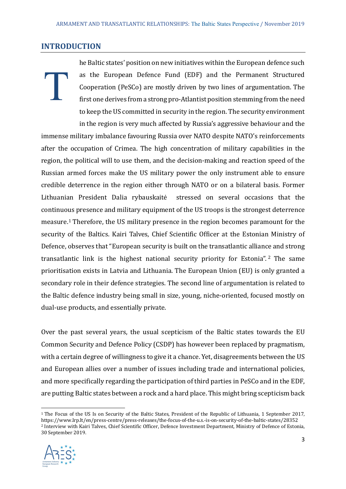#### **INTRODUCTION**

he Baltic states' position on new initiatives within the European defence such as the European Defence Fund (EDF) and the Permanent Structured Cooperation (PeSCo) are mostly driven by two lines of argumentation. The first one derives from a strong pro-Atlantist position stemming from the need to keep the US committed in security in the region. The security environment T

in the region is very much affected by Russia's aggressive behaviour and the immense military imbalance favouring Russia over NATO despite NATO's reinforcements after the occupation of Crimea. The high concentration of military capabilities in the region, the political will to use them, and the decision-making and reaction speed of the Russian armed forces make the US military power the only instrument able to ensure credible deterrence in the region either through NATO or on a bilateral basis. Former Lithuanian President Dalia rybauskaitė stressed on several occasions that the continuous presence and military equipment of the US troops is the strongest deterrence measure.[1](#page-2-0) Therefore, the US military presence in the region becomes paramount for the security of the Baltics. Kairi Talves, Chief Scientific Officer at the Estonian Ministry of Defence, observes that "European security is built on the transatlantic alliance and strong transatlantic link is the highest national security priority for Estonia". [2](#page-2-1) The same prioritisation exists in Latvia and Lithuania. The European Union (EU) is only granted a secondary role in their defence strategies. The second line of argumentation is related to the Baltic defence industry being small in size, young, niche-oriented, focused mostly on dual-use products, and essentially private.

Over the past several years, the usual scepticism of the Baltic states towards the EU Common Security and Defence Policy (CSDP) has however been replaced by pragmatism, with a certain degree of willingness to give it a chance. Yet, disagreements between the US and European allies over a number of issues including trade and international policies, and more specifically regarding the participation of third parties in PeSCo and in the EDF, are putting Baltic states between a rock and a hard place. This might bring scepticism back

<span id="page-2-1"></span><span id="page-2-0"></span><sup>&</sup>lt;sup>1</sup> The Focus of the US Is on Security of the Baltic States, President of the Republic of Lithuania, 1 September 2017, https://www.lrp.lt/en/press-centre/press-releases/the-focus-of-the-u.s.-is-on-security-of-the-baltic-states/28352 <sup>2</sup> Interview with Kairi Talves, Chief Scientific Officer, Defence Investment Department, Ministry of Defence of Estonia, 30 September 2019.

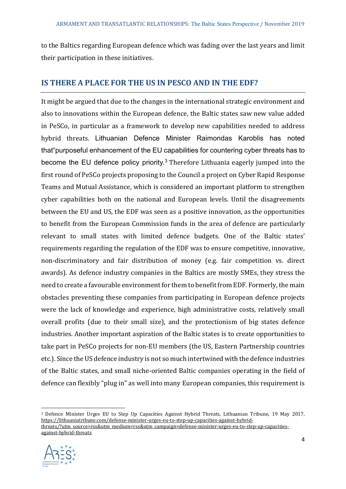to the Baltics regarding European defence which was fading over the last years and limit their participation in these initiatives.

#### **IS THERE A PLACE FOR THE US IN PESCO AND IN THE EDF?**

It might be argued that due to the changes in the international strategic environment and also to innovations within the European defence, the Baltic states saw new value added in PeSCo, in particular as a framework to develop new capabilities needed to address hybrid threats. Lithuanian Defence Minister Raimondas Karoblis has noted that"purposeful enhancement of the EU capabilities for countering cyber threats has to become the EU defence policy priority.<sup>3</sup> Therefore Lithuania eagerly jumped into the first round of PeSCo projects proposing to the Council a project on Cyber Rapid Response Teams and Mutual Assistance, which is considered an important platform to strengthen cyber capabilities both on the national and European levels. Until the disagreements between the EU and US, the EDF was seen as a positive innovation, as the opportunities to benefit from the European Commission funds in the area of defence are particularly relevant to small states with limited defence budgets. One of the Baltic states' requirements regarding the regulation of the EDF was to ensure competitive, innovative, non-discriminatory and fair distribution of money (e.g. fair competition vs. direct awards). As defence industry companies in the Baltics are mostly SMEs, they stress the need to create a favourable environment for them to benefit from EDF. Formerly, the main obstacles preventing these companies from participating in European defence projects were the lack of knowledge and experience, high administrative costs, relatively small overall profits (due to their small size), and the protectionism of big states defence industries. Another important aspiration of the Baltic states is to create opportunities to take part in PeSCo projects for non-EU members (the US, Eastern Partnership countries etc.). Since the US defence industry is not so much intertwined with the defence industries of the Baltic states, and small niche-oriented Baltic companies operating in the field of defence can flexibly "plug in" as well into many European companies, this requirement is

<span id="page-3-0"></span><sup>3</sup> Defence Minister Urges EU to Step Up Capacities Against Hybrid Threats, Lithuanian Tribune, 19 May 2017, [https://lithuaniatribune.com/defense-minister-urges-eu-to-step-up-capacities-against-hybrid](https://lithuaniatribune.com/defense-minister-urges-eu-to-step-up-capacities-against-hybrid-threats/?utm_source=rss&utm_medium=rss&utm_campaign=defense-minister-urges-eu-to-step-up-capacities-against-hybrid-threats)[threats/?utm\\_source=rss&utm\\_medium=rss&utm\\_campaign=defense-minister-urges-eu-to-step-up-capacities](https://lithuaniatribune.com/defense-minister-urges-eu-to-step-up-capacities-against-hybrid-threats/?utm_source=rss&utm_medium=rss&utm_campaign=defense-minister-urges-eu-to-step-up-capacities-against-hybrid-threats)[against-hybrid-threats](https://lithuaniatribune.com/defense-minister-urges-eu-to-step-up-capacities-against-hybrid-threats/?utm_source=rss&utm_medium=rss&utm_campaign=defense-minister-urges-eu-to-step-up-capacities-against-hybrid-threats)

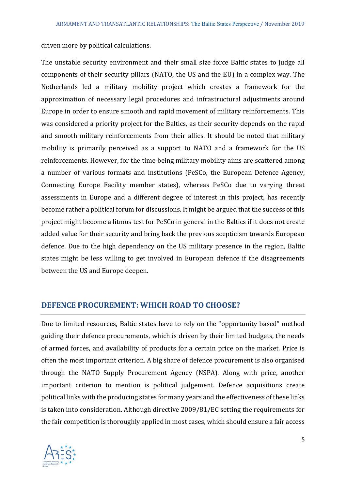driven more by political calculations.

The unstable security environment and their small size force Baltic states to judge all components of their security pillars (NATO, the US and the EU) in a complex way. The Netherlands led a military mobility project which creates a framework for the approximation of necessary legal procedures and infrastructural adjustments around Europe in order to ensure smooth and rapid movement of military reinforcements. This was considered a priority project for the Baltics, as their security depends on the rapid and smooth military reinforcements from their allies. It should be noted that military mobility is primarily perceived as a support to NATO and a framework for the US reinforcements. However, for the time being military mobility aims are scattered among a number of various formats and institutions (PeSCo, the European Defence Agency, Connecting Europe Facility member states), whereas PeSCo due to varying threat assessments in Europe and a different degree of interest in this project, has recently become rather a political forum for discussions. It might be argued that the success of this project might become a litmus test for PeSCo in general in the Baltics if it does not create added value for their security and bring back the previous scepticism towards European defence. Due to the high dependency on the US military presence in the region, Baltic states might be less willing to get involved in European defence if the disagreements between the US and Europe deepen.

#### **DEFENCE PROCUREMENT: WHICH ROAD TO CHOOSE?**

Due to limited resources, Baltic states have to rely on the "opportunity based" method guiding their defence procurements, which is driven by their limited budgets, the needs of armed forces, and availability of products for a certain price on the market. Price is often the most important criterion. A big share of defence procurement is also organised through the NATO Supply Procurement Agency (NSPA). Along with price, another important criterion to mention is political judgement. Defence acquisitions create political links with the producing states for many years and the effectiveness ofthese links is taken into consideration. Although directive 2009/81/EC setting the requirements for the fair competition is thoroughly applied in most cases, which should ensure a fair access

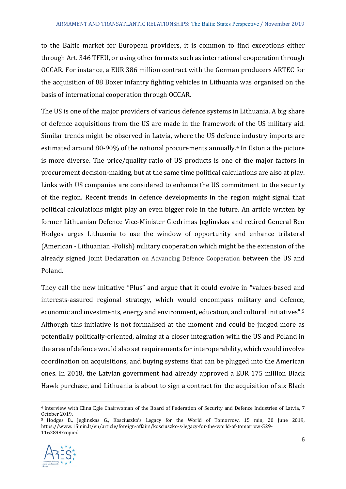to the Baltic market for European providers, it is common to find exceptions either through Art. 346 TFEU, or using other formats such as international cooperation through OCCAR. For instance, a EUR 386 million contract with the German producers ARTEC for the acquisition of 88 Boxer infantry fighting vehicles in Lithuania was organised on the basis of international cooperation through OCCAR.

The US is one of the major providers of various defence systems in Lithuania. A big share of defence acquisitions from the US are made in the framework of the US military aid. Similar trends might be observed in Latvia, where the US defence industry imports are estimated around 80-90% of the national procurements annually.[4](#page-5-0) In Estonia the picture is more diverse. The price/quality ratio of US products is one of the major factors in procurement decision-making, but at the same time political calculations are also at play. Links with US companies are considered to enhance the US commitment to the security of the region. Recent trends in defence developments in the region might signal that political calculations might play an even bigger role in the future. An article written by former Lithuanian Defence Vice-Minister Giedrimas Jeglinskas and retired General Ben Hodges urges Lithuania to use the window of opportunity and enhance trilateral (American - Lithuanian -Polish) military cooperation which might be the extension of the already signed Joint Declaration on Advancing Defence Cooperation between the US and Poland.

They call the new initiative "Plus" and argue that it could evolve in "values-based and interests-assured regional strategy, which would encompass military and defence, economic and investments, energy and environment, education, and cultural initiatives".[5](#page-5-1) Although this initiative is not formalised at the moment and could be judged more as potentially politically-oriented, aiming at a closer integration with the US and Poland in the area of defence would also set requirements for interoperability, which would involve coordination on acquisitions, and buying systems that can be plugged into the American ones. In 2018, the Latvian government had already approved a EUR 175 million Black Hawk purchase, and Lithuania is about to sign a contract for the acquisition of six Black

<span id="page-5-1"></span><sup>5</sup> Hodges B., Jeglinskas G., Kosciuszko's Legacy for the World of Tomorrow, 15 min, 20 June 2019, https://www.15min.lt/en/article/foreign-affairs/kosciuszko-s-legacy-for-the-world-of-tomorrow-529- 1162898?copied



<span id="page-5-0"></span><sup>4</sup> Interview with Elina Egle Chairwoman of the Board of Federation of Security and Defence Industries of Latvia, 7 October 2019.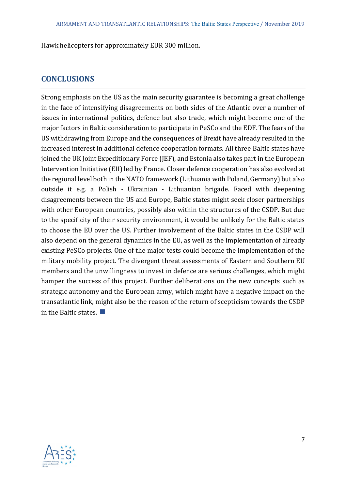Hawk helicopters for approximately EUR 300 million.

#### **CONCLUSIONS**

Strong emphasis on the US as the main security guarantee is becoming a great challenge in the face of intensifying disagreements on both sides of the Atlantic over a number of issues in international politics, defence but also trade, which might become one of the major factors in Baltic consideration to participate in PeSCo and the EDF. The fears of the US withdrawing from Europe and the consequences of Brexit have already resulted in the increased interest in additional defence cooperation formats. All three Baltic states have joined the UK Joint Expeditionary Force (JEF), and Estonia also takes part in the European Intervention Initiative (EII) led by France. Closer defence cooperation has also evolved at the regional level both in the NATO framework (Lithuania with Poland, Germany) but also outside it e.g. a Polish - Ukrainian - Lithuanian brigade. Faced with deepening disagreements between the US and Europe, Baltic states might seek closer partnerships with other European countries, possibly also within the structures of the CSDP. But due to the specificity of their security environment, it would be unlikely for the Baltic states to choose the EU over the US. Further involvement of the Baltic states in the CSDP will also depend on the general dynamics in the EU, as well as the implementation of already existing PeSCo projects. One of the major tests could become the implementation of the military mobility project. The divergent threat assessments of Eastern and Southern EU members and the unwillingness to invest in defence are serious challenges, which might hamper the success of this project. Further deliberations on the new concepts such as strategic autonomy and the European army, which might have a negative impact on the transatlantic link, might also be the reason of the return of scepticism towards the CSDP in the Baltic states.  $\blacksquare$ 

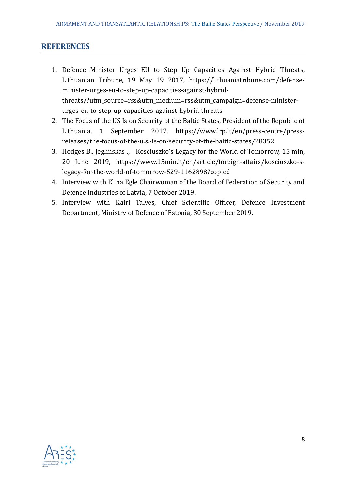#### **REFERENCES**

- 1. Defence Minister Urges EU to Step Up Capacities Against Hybrid Threats, Lithuanian Tribune, 19 May 19 2017, [https://lithuaniatribune.com/defense](https://lithuaniatribune.com/defense-minister-urges-eu-to-step-up-capacities-against-hybrid-threats/?utm_source=rss&utm_medium=rss&utm_campaign=defense-minister-urges-eu-to-step-up-capacities-against-hybrid-threats)[minister-urges-eu-to-step-up-capacities-against-hybrid](https://lithuaniatribune.com/defense-minister-urges-eu-to-step-up-capacities-against-hybrid-threats/?utm_source=rss&utm_medium=rss&utm_campaign=defense-minister-urges-eu-to-step-up-capacities-against-hybrid-threats)[threats/?utm\\_source=rss&utm\\_medium=rss&utm\\_campaign=defense-minister](https://lithuaniatribune.com/defense-minister-urges-eu-to-step-up-capacities-against-hybrid-threats/?utm_source=rss&utm_medium=rss&utm_campaign=defense-minister-urges-eu-to-step-up-capacities-against-hybrid-threats)[urges-eu-to-step-up-capacities-against-hybrid-threats](https://lithuaniatribune.com/defense-minister-urges-eu-to-step-up-capacities-against-hybrid-threats/?utm_source=rss&utm_medium=rss&utm_campaign=defense-minister-urges-eu-to-step-up-capacities-against-hybrid-threats)
- 2. The Focus of the US Is on Security of the Baltic States, President of the Republic of Lithuania, 1 September 2017, [https://www.lrp.lt/en/press-centre/press](https://www.lrp.lt/en/press-centre/press-releases/the-focus-of-the-u.s.-is-on-security-of-the-baltic-states/28352)[releases/the-focus-of-the-u.s.-is-on-security-of-the-baltic-states/28352](https://www.lrp.lt/en/press-centre/press-releases/the-focus-of-the-u.s.-is-on-security-of-the-baltic-states/28352)
- 3. Hodges B., Jeglinskas ., Kosciuszko's Legacy for the World of Tomorrow, 15 min, 20 June 2019, https://www.15min.lt/en/article/foreign-affairs/kosciuszko-slegacy-for-the-world-of-tomorrow-529-1162898?copied
- 4. Interview with Elina Egle Chairwoman of the Board of Federation of Security and Defence Industries of Latvia, 7 October 2019.
- 5. Interview with Kairi Talves, Chief Scientific Officer, Defence Investment Department, Ministry of Defence of Estonia, 30 September 2019.